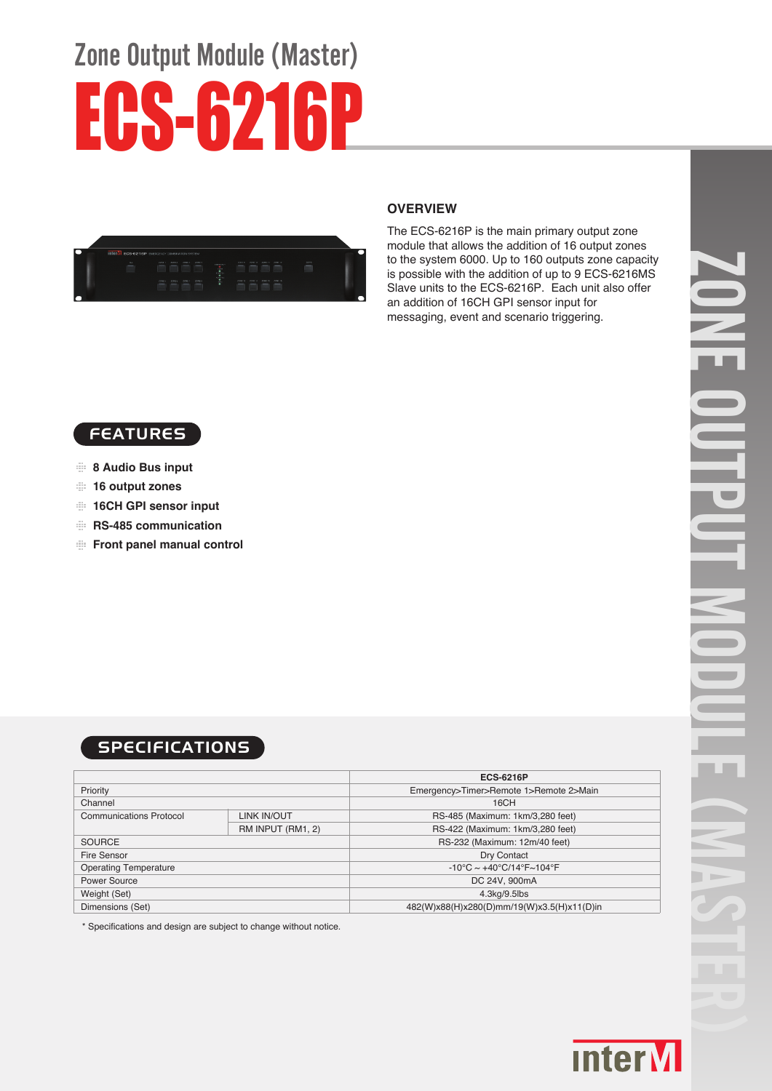# Zone Output Module (Master) ECS-6216P



#### **OVERVIEW**

The ECS-6216P is the main primary output zone module that allows the addition of 16 output zones to the system 6000. Up to 160 outputs zone capacity is possible with the addition of up to 9 ECS-6216MS Slave units to the ECS-6216P. Each unit also offer an addition of 16CH GPI sensor input for messaging, event and scenario triggering.



- **8 Audio Bus input**
- **16 output zones**
- **16CH GPI sensor input**
- **RS-485 communication**
- **Front panel manual control**

# **SPECIFICATIONS**

|                                |                   | <b>ECS-6216P</b>                                                   |
|--------------------------------|-------------------|--------------------------------------------------------------------|
| Priority                       |                   | Emergency>Timer>Remote 1>Remote 2>Main                             |
| Channel                        |                   | 16CH                                                               |
| <b>Communications Protocol</b> | LINK IN/OUT       | RS-485 (Maximum: 1km/3,280 feet)                                   |
|                                | RM INPUT (RM1, 2) | RS-422 (Maximum: 1km/3,280 feet)                                   |
| <b>SOURCE</b>                  |                   | RS-232 (Maximum: 12m/40 feet)                                      |
| Fire Sensor                    |                   | Dry Contact                                                        |
| <b>Operating Temperature</b>   |                   | $-10^{\circ}$ C ~ $+40^{\circ}$ C/14 $^{\circ}$ F~104 $^{\circ}$ F |
| Power Source                   |                   | DC 24V, 900mA                                                      |
| Weight (Set)                   |                   | 4.3kg/9.5lbs                                                       |
| Dimensions (Set)               |                   | 482(W)x88(H)x280(D)mm/19(W)x3.5(H)x11(D)in                         |

\* Specifications and design are subject to change without notice.